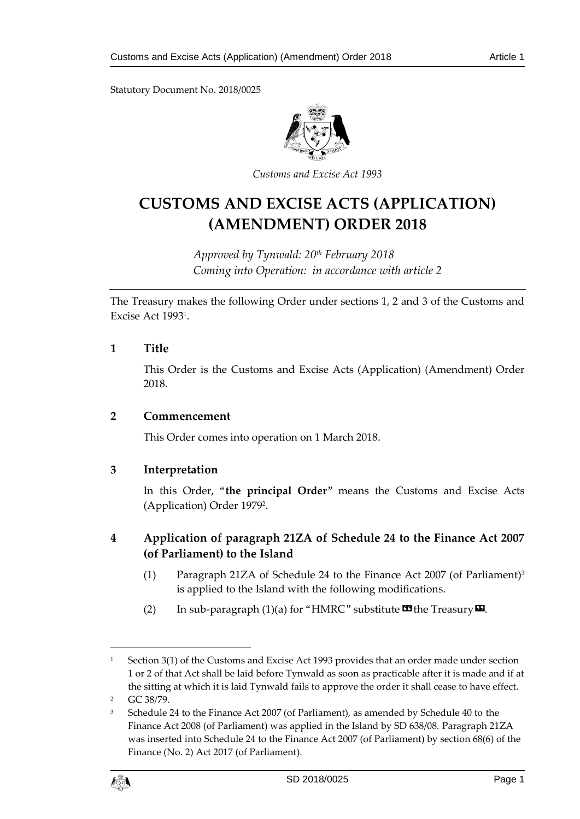Statutory Document No. 2018/0025



*Customs and Excise Act 1993*

# **CUSTOMS AND EXCISE ACTS (APPLICATION) (AMENDMENT) ORDER 2018**

*Approved by Tynwald: 20th February 2018 Coming into Operation: in accordance with article 2*

The Treasury makes the following Order under sections 1, 2 and 3 of the Customs and Excise Act 1993<sup>1</sup> .

### **1 Title**

This Order is the Customs and Excise Acts (Application) (Amendment) Order 2018.

#### **2 Commencement**

This Order comes into operation on 1 March 2018.

## **3 Interpretation**

In this Order, "**the principal Order**" means the Customs and Excise Acts (Application) Order 1979<sup>2</sup> .

## **4 Application of paragraph 21ZA of Schedule 24 to the Finance Act 2007 (of Parliament) to the Island**

- (1) Paragraph 21ZA of Schedule 24 to the Finance Act 2007 (of Parliament)<sup>3</sup> is applied to the Island with the following modifications.
- (2) In sub-paragraph (1)(a) for "HMRC" substitute  $\mathbf{C}$  the Treasury  $\mathbf{D}$ .

<sup>&</sup>lt;sup>3</sup> Schedule 24 to the Finance Act 2007 (of Parliament), as amended by Schedule 40 to the Finance Act 2008 (of Parliament) was applied in the Island by SD 638/08. Paragraph 21ZA was inserted into Schedule 24 to the Finance Act 2007 (of Parliament) by section 68(6) of the Finance (No. 2) Act 2017 (of Parliament).



1

<sup>&</sup>lt;sup>1</sup> Section 3(1) of the Customs and Excise Act 1993 provides that an order made under section 1 or 2 of that Act shall be laid before Tynwald as soon as practicable after it is made and if at the sitting at which it is laid Tynwald fails to approve the order it shall cease to have effect.

<sup>2</sup> GC 38/79.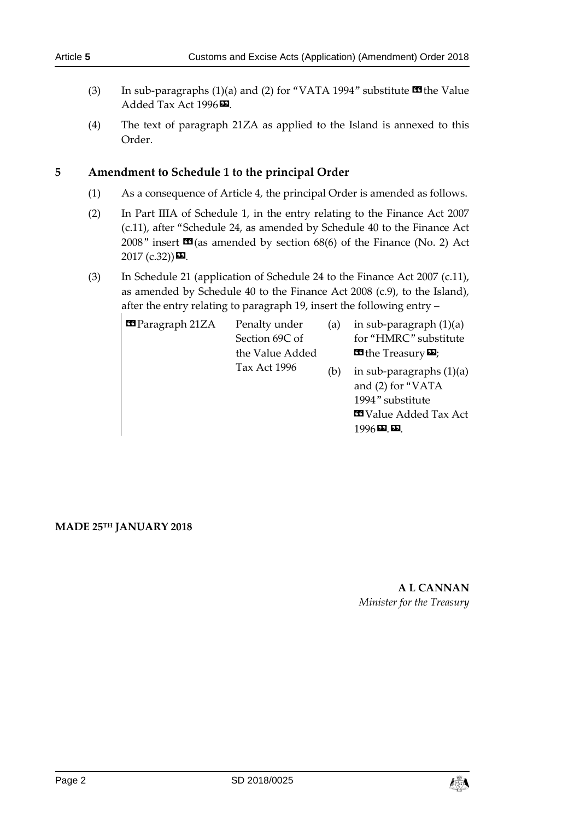- (3) In sub-paragraphs (1)(a) and (2) for "VATA 1994" substitute  $\blacksquare$  the Value Added Tax Act 1996<sup>D</sup>.
- (4) The text of paragraph 21ZA as applied to the Island is annexed to this Order.

## **5 Amendment to Schedule 1 to the principal Order**

- (1) As a consequence of Article 4, the principal Order is amended as follows.
- (2) In Part IIIA of Schedule 1, in the entry relating to the Finance Act 2007 (c.11), after "Schedule 24, as amended by Schedule 40 to the Finance Act 2008" insert  $\mathbf{C}$  (as amended by section 68(6) of the Finance (No. 2) Act  $2017$  (c.32)) $\blacksquare$ .
- (3) In Schedule 21 (application of Schedule 24 to the Finance Act 2007 (c.11), as amended by Schedule 40 to the Finance Act 2008 (c.9), to the Island), after the entry relating to paragraph 19, insert the following entry –

| <b>Example 21ZA</b> | Penalty under<br>Section 69C of<br>the Value Added<br><b>Tax Act 1996</b> | (a) | in sub-paragraph $(1)(a)$<br>for "HMRC" substitute<br><b>E</b> the Treasury <b>D</b> ;               |
|---------------------|---------------------------------------------------------------------------|-----|------------------------------------------------------------------------------------------------------|
|                     |                                                                           | (b) | in sub-paragraphs $(1)(a)$<br>and (2) for "VATA<br>1994" substitute<br><b>Ed</b> Value Added Tax Act |

#### **MADE 25TH JANUARY 2018**

## **A L CANNAN** *Minister for the Treasury*

1996».».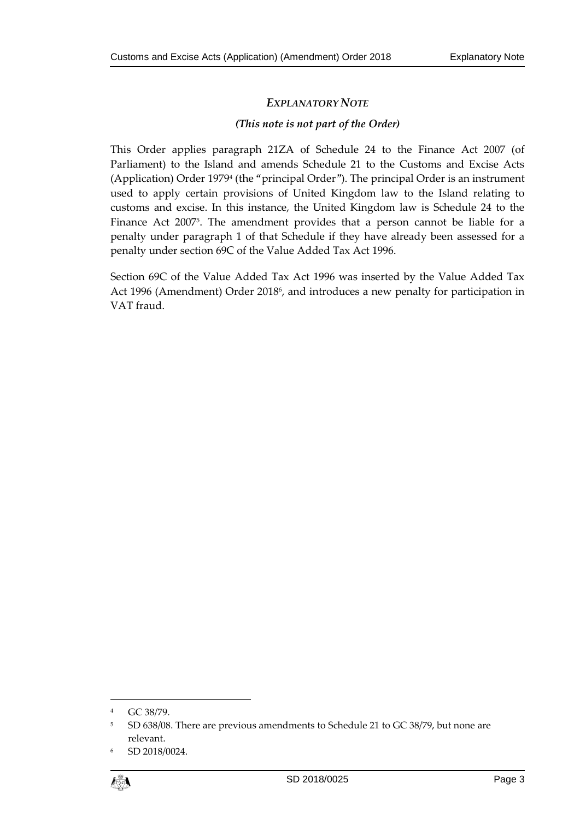## *EXPLANATORY NOTE*

#### *(This note is not part of the Order)*

This Order applies paragraph 21ZA of Schedule 24 to the Finance Act 2007 (of Parliament) to the Island and amends Schedule 21 to the Customs and Excise Acts (Application) Order 1979<sup>4</sup> (the "principal Order"). The principal Order is an instrument used to apply certain provisions of United Kingdom law to the Island relating to customs and excise. In this instance, the United Kingdom law is Schedule 24 to the Finance Act 2007<sup>5</sup> . The amendment provides that a person cannot be liable for a penalty under paragraph 1 of that Schedule if they have already been assessed for a penalty under section 69C of the Value Added Tax Act 1996.

Section 69C of the Value Added Tax Act 1996 was inserted by the Value Added Tax Act 1996 (Amendment) Order 2018<sup>6</sup>, and introduces a new penalty for participation in VAT fraud.

<sup>6</sup> SD 2018/0024.



 $\overline{a}$ 

<sup>4</sup> GC 38/79.

<sup>5</sup> SD 638/08. There are previous amendments to Schedule 21 to GC 38/79, but none are relevant.